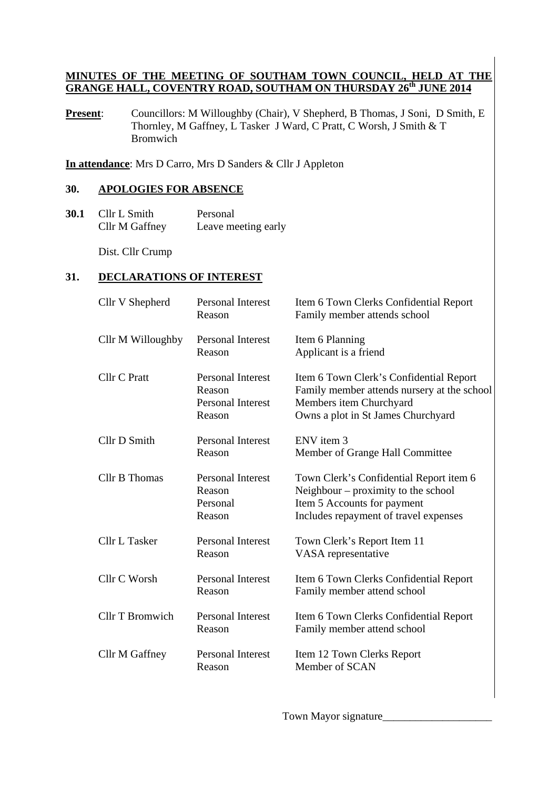#### **MINUTES OF THE MEETING OF SOUTHAM TOWN COUNCIL, HELD AT THE GRANGE HALL, COVENTRY ROAD, SOUTHAM ON THURSDAY 26th JUNE 2014**

**Present**: Councillors: M Willoughby (Chair), V Shepherd, B Thomas, J Soni, D Smith, E Thornley, M Gaffney, L Tasker J Ward, C Pratt, C Worsh, J Smith & T Bromwich

**In attendance**: Mrs D Carro, Mrs D Sanders & Cllr J Appleton

#### **30. APOLOGIES FOR ABSENCE**

**30.1** Cllr L Smith Personal Cllr M Gaffney Leave meeting early

Dist. Cllr Crump

#### **31. DECLARATIONS OF INTEREST**

| Cllr V Shepherd        | <b>Personal Interest</b><br>Reason                                | Item 6 Town Clerks Confidential Report<br>Family member attends school                                                                                  |
|------------------------|-------------------------------------------------------------------|---------------------------------------------------------------------------------------------------------------------------------------------------------|
| Cllr M Willoughby      | <b>Personal Interest</b><br>Reason                                | Item 6 Planning<br>Applicant is a friend                                                                                                                |
| Cllr C Pratt           | Personal Interest<br>Reason<br><b>Personal Interest</b><br>Reason | Item 6 Town Clerk's Confidential Report<br>Family member attends nursery at the school<br>Members item Churchyard<br>Owns a plot in St James Churchyard |
| Cllr D Smith           | <b>Personal Interest</b><br>Reason                                | ENV item 3<br>Member of Grange Hall Committee                                                                                                           |
| <b>Cllr B Thomas</b>   | Personal Interest<br>Reason<br>Personal<br>Reason                 | Town Clerk's Confidential Report item 6<br>Neighbour – proximity to the school<br>Item 5 Accounts for payment<br>Includes repayment of travel expenses  |
| <b>Cllr L Tasker</b>   | <b>Personal Interest</b><br>Reason                                | Town Clerk's Report Item 11<br>VASA representative                                                                                                      |
| Cllr C Worsh           | <b>Personal Interest</b><br>Reason                                | Item 6 Town Clerks Confidential Report<br>Family member attend school                                                                                   |
| <b>Cllr T Bromwich</b> | <b>Personal Interest</b><br>Reason                                | Item 6 Town Clerks Confidential Report<br>Family member attend school                                                                                   |
| Cllr M Gaffney         | Personal Interest<br>Reason                                       | Item 12 Town Clerks Report<br>Member of SCAN                                                                                                            |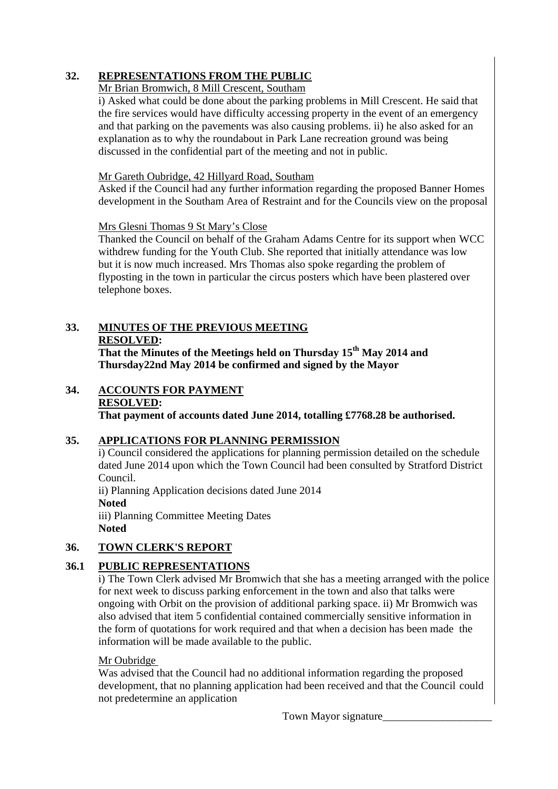## **32. REPRESENTATIONS FROM THE PUBLIC**

# Mr Brian Bromwich, 8 Mill Crescent, Southam

i) Asked what could be done about the parking problems in Mill Crescent. He said that the fire services would have difficulty accessing property in the event of an emergency and that parking on the pavements was also causing problems. ii) he also asked for an explanation as to why the roundabout in Park Lane recreation ground was being discussed in the confidential part of the meeting and not in public.

## Mr Gareth Oubridge, 42 Hillyard Road, Southam

 Asked if the Council had any further information regarding the proposed Banner Homes development in the Southam Area of Restraint and for the Councils view on the proposal

### Mrs Glesni Thomas 9 St Mary's Close

 Thanked the Council on behalf of the Graham Adams Centre for its support when WCC withdrew funding for the Youth Club. She reported that initially attendance was low but it is now much increased. Mrs Thomas also spoke regarding the problem of flyposting in the town in particular the circus posters which have been plastered over telephone boxes.

# **33. MINUTES OF THE PREVIOUS MEETING**

## **RESOLVED:**

**That the Minutes of the Meetings held on Thursday 15th May 2014 and Thursday22nd May 2014 be confirmed and signed by the Mayor** 

#### **34. ACCOUNTS FOR PAYMENT RESOLVED:**

**That payment of accounts dated June 2014, totalling £7768.28 be authorised.** 

# **35. APPLICATIONS FOR PLANNING PERMISSION**

i) Council considered the applications for planning permission detailed on the schedule dated June 2014 upon which the Town Council had been consulted by Stratford District Council.

ii) Planning Application decisions dated June 2014 **Noted** iii) Planning Committee Meeting Dates **Noted** 

# **36. TOWN CLERK'S REPORT**

# **36.1 PUBLIC REPRESENTATIONS**

 i) The Town Clerk advised Mr Bromwich that she has a meeting arranged with the police for next week to discuss parking enforcement in the town and also that talks were ongoing with Orbit on the provision of additional parking space. ii) Mr Bromwich was also advised that item 5 confidential contained commercially sensitive information in the form of quotations for work required and that when a decision has been made the information will be made available to the public.

### Mr Oubridge

 Was advised that the Council had no additional information regarding the proposed development, that no planning application had been received and that the Council could not predetermine an application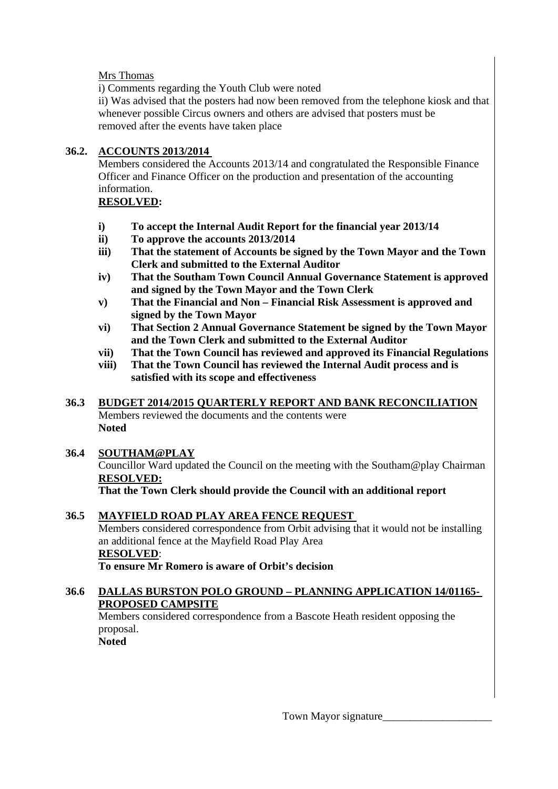### Mrs Thomas

i) Comments regarding the Youth Club were noted

 ii) Was advised that the posters had now been removed from the telephone kiosk and that whenever possible Circus owners and others are advised that posters must be removed after the events have taken place

#### **36.2. ACCOUNTS 2013/2014**

Members considered the Accounts 2013/14 and congratulated the Responsible Finance Officer and Finance Officer on the production and presentation of the accounting information.

# **RESOLVED:**

- **i) To accept the Internal Audit Report for the financial year 2013/14**
- **ii) To approve the accounts 2013/2014**
- **iii) That the statement of Accounts be signed by the Town Mayor and the Town Clerk and submitted to the External Auditor**
- **iv) That the Southam Town Council Annual Governance Statement is approved and signed by the Town Mayor and the Town Clerk**
- **v) That the Financial and Non Financial Risk Assessment is approved and signed by the Town Mayor**
- **vi) That Section 2 Annual Governance Statement be signed by the Town Mayor and the Town Clerk and submitted to the External Auditor**
- **vii) That the Town Council has reviewed and approved its Financial Regulations**
- **viii) That the Town Council has reviewed the Internal Audit process and is satisfied with its scope and effectiveness**

#### **36.3 BUDGET 2014/2015 QUARTERLY REPORT AND BANK RECONCILIATION** Members reviewed the documents and the contents were **Noted**

### **36.4 SOUTHAM@PLAY**

Councillor Ward updated the Council on the meeting with the Southam@play Chairman  **RESOLVED:**

 **That the Town Clerk should provide the Council with an additional report** 

#### **36.5 MAYFIELD ROAD PLAY AREA FENCE REQUEST**  Members considered correspondence from Orbit advising that it would not be installing an additional fence at the Mayfield Road Play Area  **RESOLVED**:  **To ensure Mr Romero is aware of Orbit's decision**

### **36.6 DALLAS BURSTON POLO GROUND – PLANNING APPLICATION 14/01165- PROPOSED CAMPSITE**

Members considered correspondence from a Bascote Heath resident opposing the proposal.

**Noted**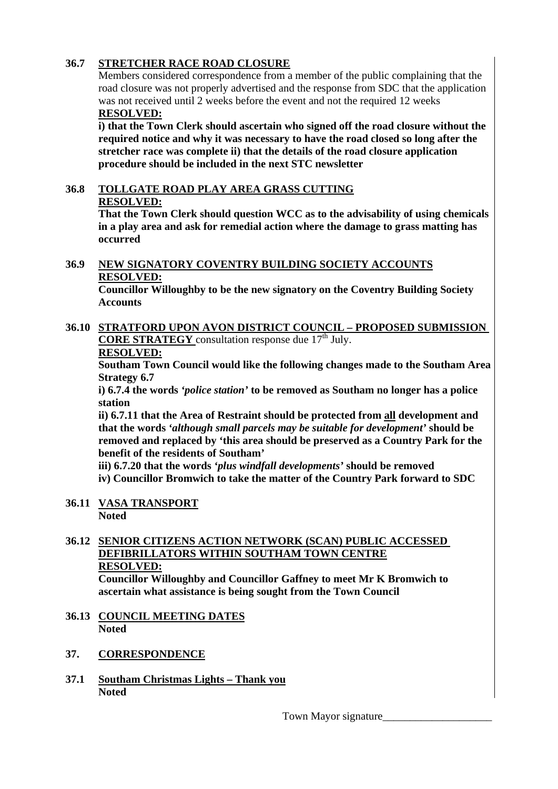# **36.7 STRETCHER RACE ROAD CLOSURE**

Members considered correspondence from a member of the public complaining that the road closure was not properly advertised and the response from SDC that the application was not received until 2 weeks before the event and not the required 12 weeks  **RESOLVED:**

 **i) that the Town Clerk should ascertain who signed off the road closure without the required notice and why it was necessary to have the road closed so long after the stretcher race was complete ii) that the details of the road closure application procedure should be included in the next STC newsletter** 

#### **36.8 TOLLGATE ROAD PLAY AREA GRASS CUTTING RESOLVED:**

 **That the Town Clerk should question WCC as to the advisability of using chemicals in a play area and ask for remedial action where the damage to grass matting has occurred** 

#### **36.9 NEW SIGNATORY COVENTRY BUILDING SOCIETY ACCOUNTS RESOLVED:**

 **Councillor Willoughby to be the new signatory on the Coventry Building Society Accounts** 

#### **36.10 STRATFORD UPON AVON DISTRICT COUNCIL – PROPOSED SUBMISSION CORE STRATEGY** consultation response due 17<sup>th</sup> July.  **RESOLVED:**

 **Southam Town Council would like the following changes made to the Southam Area Strategy 6.7** 

 **i) 6.7.4 the words** *'police station'* **to be removed as Southam no longer has a police station** 

 **ii) 6.7.11 that the Area of Restraint should be protected from all development and that the words** *'although small parcels may be suitable for development'* **should be removed and replaced by 'this area should be preserved as a Country Park for the benefit of the residents of Southam'** 

 **iii) 6.7.20 that the words** *'plus windfall developments'* **should be removed** 

 **iv) Councillor Bromwich to take the matter of the Country Park forward to SDC** 

**36.11 VASA TRANSPORT Noted** 

#### **36.12 SENIOR CITIZENS ACTION NETWORK (SCAN) PUBLIC ACCESSED DEFIBRILLATORS WITHIN SOUTHAM TOWN CENTRE RESOLVED:**

 **Councillor Willoughby and Councillor Gaffney to meet Mr K Bromwich to ascertain what assistance is being sought from the Town Council** 

- **36.13 COUNCIL MEETING DATES Noted**
- **37. CORRESPONDENCE**
- **37.1 Southam Christmas Lights Thank you Noted**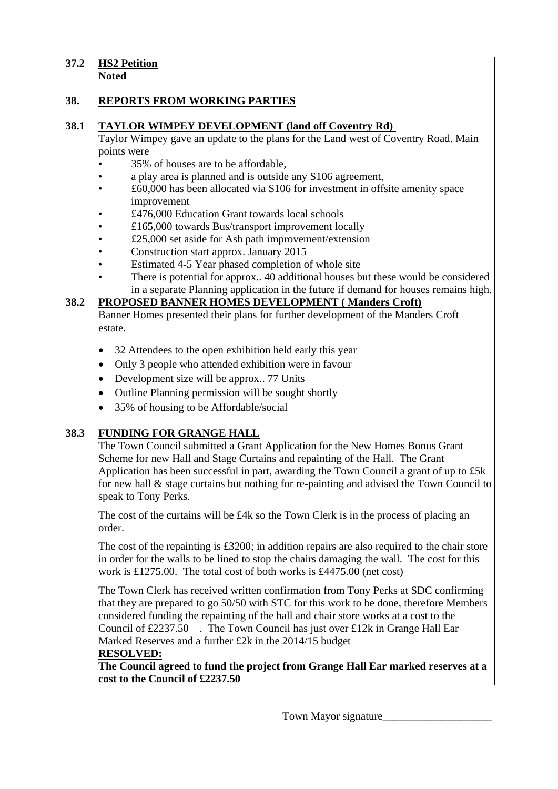# **37.2 HS2 Petition**

 **Noted** 

### **38. REPORTS FROM WORKING PARTIES**

# **38.1 TAYLOR WIMPEY DEVELOPMENT (land off Coventry Rd)**

Taylor Wimpey gave an update to the plans for the Land west of Coventry Road. Main points were

- 35% of houses are to be affordable,
- a play area is planned and is outside any S106 agreement,
- £60,000 has been allocated via S106 for investment in offsite amenity space improvement
- £476,000 Education Grant towards local schools
- £165,000 towards Bus/transport improvement locally
- £25,000 set aside for Ash path improvement/extension
- Construction start approx. January 2015
- Estimated 4-5 Year phased completion of whole site
- There is potential for approx.. 40 additional houses but these would be considered in a separate Planning application in the future if demand for houses remains high.

### **38.2 PROPOSED BANNER HOMES DEVELOPMENT ( Manders Croft)**

Banner Homes presented their plans for further development of the Manders Croft estate.

- 32 Attendees to the open exhibition held early this year
- Only 3 people who attended exhibition were in favour
- Development size will be approx.. 77 Units
- Outline Planning permission will be sought shortly
- 35% of housing to be Affordable/social

# **38.3 FUNDING FOR GRANGE HALL**

The Town Council submitted a Grant Application for the New Homes Bonus Grant Scheme for new Hall and Stage Curtains and repainting of the Hall. The Grant Application has been successful in part, awarding the Town Council a grant of up to £5k for new hall & stage curtains but nothing for re-painting and advised the Town Council to speak to Tony Perks.

The cost of the curtains will be £4k so the Town Clerk is in the process of placing an order.

The cost of the repainting is £3200; in addition repairs are also required to the chair store in order for the walls to be lined to stop the chairs damaging the wall. The cost for this work is £1275.00. The total cost of both works is £4475.00 (net cost)

The Town Clerk has received written confirmation from Tony Perks at SDC confirming that they are prepared to go 50/50 with STC for this work to be done, therefore Members considered funding the repainting of the hall and chair store works at a cost to the Council of £2237.50 . The Town Council has just over £12k in Grange Hall Ear Marked Reserves and a further £2k in the 2014/15 budget **RESOLVED:**

**The Council agreed to fund the project from Grange Hall Ear marked reserves at a cost to the Council of £2237.50**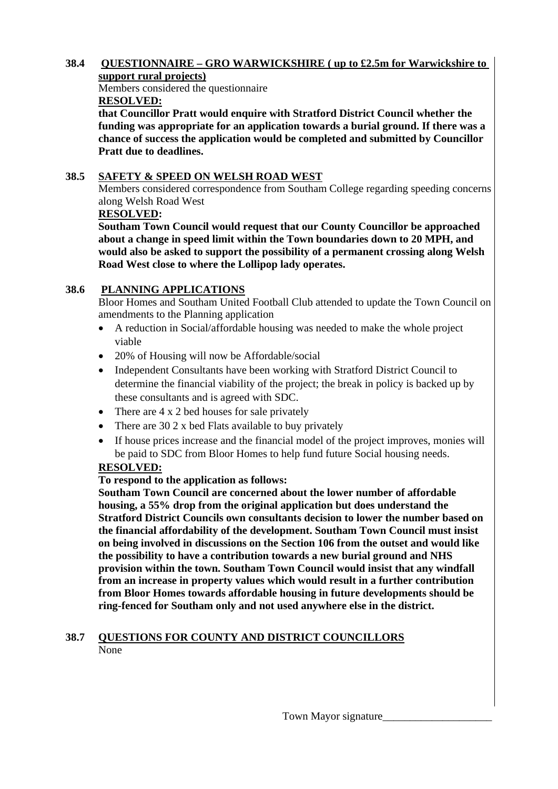#### **38.4 QUESTIONNAIRE – GRO WARWICKSHIRE ( up to £2.5m for Warwickshire to support rural projects)**

Members considered the questionnaire

# **RESOLVED:**

**that Councillor Pratt would enquire with Stratford District Council whether the funding was appropriate for an application towards a burial ground. If there was a chance of success the application would be completed and submitted by Councillor Pratt due to deadlines.** 

## **38.5 SAFETY & SPEED ON WELSH ROAD WEST**

Members considered correspondence from Southam College regarding speeding concerns along Welsh Road West

### **RESOLVED:**

**Southam Town Council would request that our County Councillor be approached about a change in speed limit within the Town boundaries down to 20 MPH, and would also be asked to support the possibility of a permanent crossing along Welsh Road West close to where the Lollipop lady operates.** 

# **38.6 PLANNING APPLICATIONS**

Bloor Homes and Southam United Football Club attended to update the Town Council on amendments to the Planning application

- A reduction in Social/affordable housing was needed to make the whole project viable
- 20% of Housing will now be Affordable/social
- Independent Consultants have been working with Stratford District Council to determine the financial viability of the project; the break in policy is backed up by these consultants and is agreed with SDC.
- There are 4 x 2 bed houses for sale privately
- There are 30 2 x bed Flats available to buy privately
- If house prices increase and the financial model of the project improves, monies will be paid to SDC from Bloor Homes to help fund future Social housing needs.

### **RESOLVED:**

### **To respond to the application as follows:**

**Southam Town Council are concerned about the lower number of affordable housing, a 55% drop from the original application but does understand the Stratford District Councils own consultants decision to lower the number based on the financial affordability of the development. Southam Town Council must insist on being involved in discussions on the Section 106 from the outset and would like the possibility to have a contribution towards a new burial ground and NHS provision within the town. Southam Town Council would insist that any windfall from an increase in property values which would result in a further contribution from Bloor Homes towards affordable housing in future developments should be ring-fenced for Southam only and not used anywhere else in the district.** 

#### **38.7 QUESTIONS FOR COUNTY AND DISTRICT COUNCILLORS** None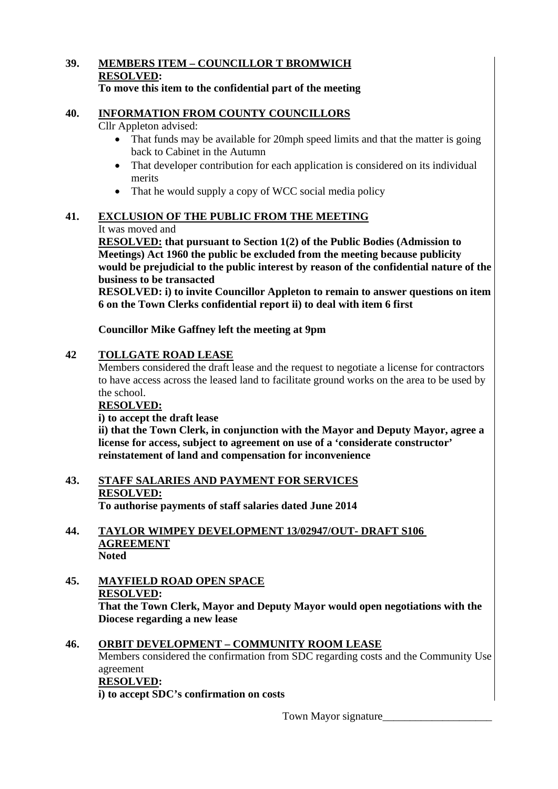# **39. MEMBERS ITEM – COUNCILLOR T BROMWICH RESOLVED:**

## **To move this item to the confidential part of the meeting**

#### **40. INFORMATION FROM COUNTY COUNCILLORS**

Cllr Appleton advised:

- That funds may be available for 20mph speed limits and that the matter is going back to Cabinet in the Autumn
- That developer contribution for each application is considered on its individual merits
- That he would supply a copy of WCC social media policy

### **41. EXCLUSION OF THE PUBLIC FROM THE MEETING**

### It was moved and

**RESOLVED: that pursuant to Section 1(2) of the Public Bodies (Admission to Meetings) Act 1960 the public be excluded from the meeting because publicity would be prejudicial to the public interest by reason of the confidential nature of the business to be transacted** 

 **RESOLVED: i) to invite Councillor Appleton to remain to answer questions on item 6 on the Town Clerks confidential report ii) to deal with item 6 first** 

 **Councillor Mike Gaffney left the meeting at 9pm** 

# **42 TOLLGATE ROAD LEASE**

Members considered the draft lease and the request to negotiate a license for contractors to have access across the leased land to facilitate ground works on the area to be used by the school.

### **RESOLVED:**

### **i) to accept the draft lease**

 **ii) that the Town Clerk, in conjunction with the Mayor and Deputy Mayor, agree a license for access, subject to agreement on use of a 'considerate constructor' reinstatement of land and compensation for inconvenience** 

- **43. STAFF SALARIES AND PAYMENT FOR SERVICES RESOLVED: To authorise payments of staff salaries dated June 2014**
- **44. TAYLOR WIMPEY DEVELOPMENT 13/02947/OUT- DRAFT S106 AGREEMENT Noted**
- **45. MAYFIELD ROAD OPEN SPACE RESOLVED: That the Town Clerk, Mayor and Deputy Mayor would open negotiations with the Diocese regarding a new lease**
- **46. ORBIT DEVELOPMENT COMMUNITY ROOM LEASE** Members considered the confirmation from SDC regarding costs and the Community Use agreement  **RESOLVED: i) to accept SDC's confirmation on costs**